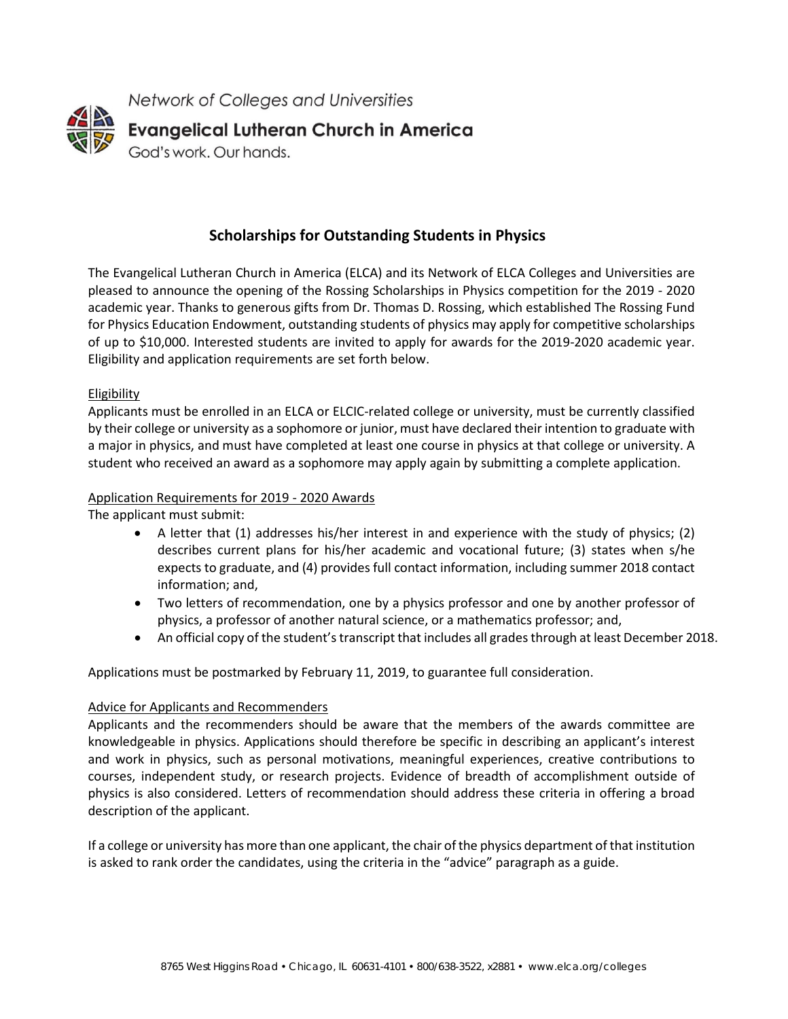

## **Scholarships for Outstanding Students in Physics**

The Evangelical Lutheran Church in America (ELCA) and its Network of ELCA Colleges and Universities are pleased to announce the opening of the Rossing Scholarships in Physics competition for the 2019 - 2020 academic year. Thanks to generous gifts from Dr. Thomas D. Rossing, which established The Rossing Fund for Physics Education Endowment, outstanding students of physics may apply for competitive scholarships of up to \$10,000. Interested students are invited to apply for awards for the 2019-2020 academic year. Eligibility and application requirements are set forth below.

## Eligibility

Applicants must be enrolled in an ELCA or ELCIC-related college or university, must be currently classified by their college or university as a sophomore or junior, must have declared their intention to graduate with a major in physics, and must have completed at least one course in physics at that college or university. A student who received an award as a sophomore may apply again by submitting a complete application.

## Application Requirements for 2019 - 2020 Awards

The applicant must submit:

- A letter that (1) addresses his/her interest in and experience with the study of physics; (2) describes current plans for his/her academic and vocational future; (3) states when s/he expects to graduate, and (4) provides full contact information, including summer 2018 contact information; and,
- Two letters of recommendation, one by a physics professor and one by another professor of physics, a professor of another natural science, or a mathematics professor; and,
- An official copy of the student's transcript that includes all grades through at least December 2018.

Applications must be postmarked by February 11, 2019, to guarantee full consideration.

## Advice for Applicants and Recommenders

Applicants and the recommenders should be aware that the members of the awards committee are knowledgeable in physics. Applications should therefore be specific in describing an applicant's interest and work in physics, such as personal motivations, meaningful experiences, creative contributions to courses, independent study, or research projects. Evidence of breadth of accomplishment outside of physics is also considered. Letters of recommendation should address these criteria in offering a broad description of the applicant.

If a college or university has more than one applicant, the chair of the physics department of that institution is asked to rank order the candidates, using the criteria in the "advice" paragraph as a guide.